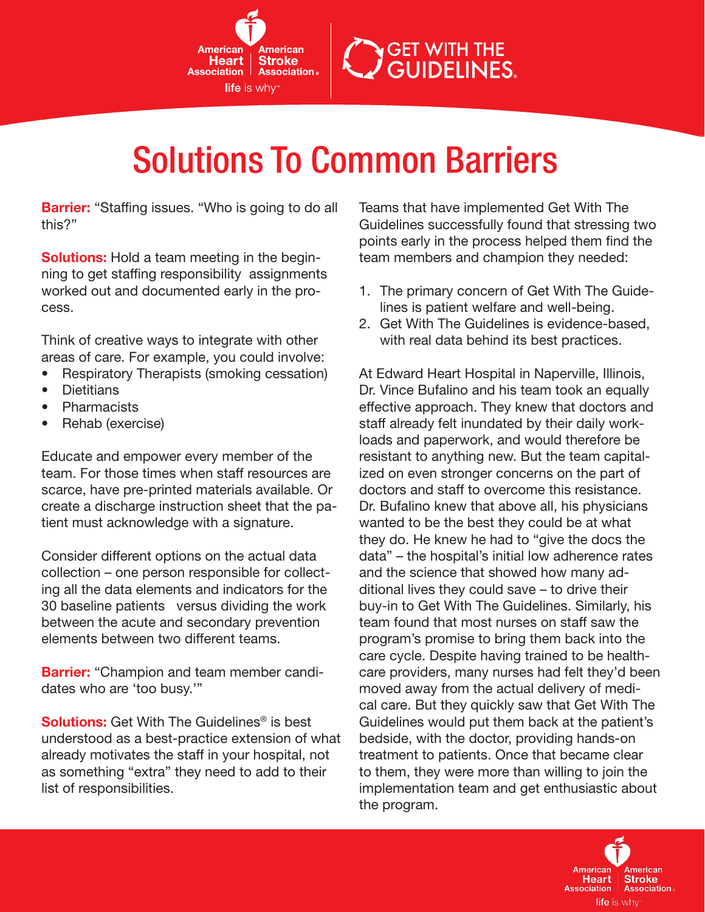

## Solutions To Common Barriers

**Barrier:** "Staffing issues. "Who is going to do all this?"

**Solutions:** Hold a team meeting in the beginning to get staffing responsibility assignments worked out and documented early in the process.

Think of creative ways to integrate with other areas of care. For example, you could involve:

- Respiratory Therapists (smoking cessation)
- • Dietitians
- • Pharmacists
- Rehab (exercise)

Educate and empower every member of the team. For those times when staff resources are scarce, have pre-printed materials available. Or create a discharge instruction sheet that the patient must acknowledge with a signature.

Consider different options on the actual data collection – one person responsible for collecting all the data elements and indicators for the 30 baseline patients versus dividing the work between the acute and secondary prevention elements between two different teams.

**Barrier:** "Champion and team member candidates who are 'too busy.'"

**Solutions:** Get With The Guidelines<sup>®</sup> is best understood as a best-practice extension of what already motivates the staff in your hospital, not as something "extra" they need to add to their list of responsibilities.

Teams that have implemented Get With The Guidelines successfully found that stressing two points early in the process helped them find the team members and champion they needed:

**GET WITH THE GUIDELINES.** 

- 1. The primary concern of Get With The Guidelines is patient welfare and well-being.
- 2. Get With The Guidelines is evidence-based, with real data behind its best practices.

At Edward Heart Hospital in Naperville, Illinois, Dr. Vince Bufalino and his team took an equally effective approach. They knew that doctors and staff already felt inundated by their daily workloads and paperwork, and would therefore be resistant to anything new. But the team capitalized on even stronger concerns on the part of doctors and staff to overcome this resistance. Dr. Bufalino knew that above all, his physicians wanted to be the best they could be at what they do. He knew he had to "give the docs the data" – the hospital's initial low adherence rates and the science that showed how many additional lives they could save – to drive their buy-in to Get With The Guidelines. Similarly, his team found that most nurses on staff saw the program's promise to bring them back into the care cycle. Despite having trained to be healthcare providers, many nurses had felt they'd been moved away from the actual delivery of medical care. But they quickly saw that Get With The Guidelines would put them back at the patient's bedside, with the doctor, providing hands-on treatment to patients. Once that became clear to them, they were more than willing to join the implementation team and get enthusiastic about the program.

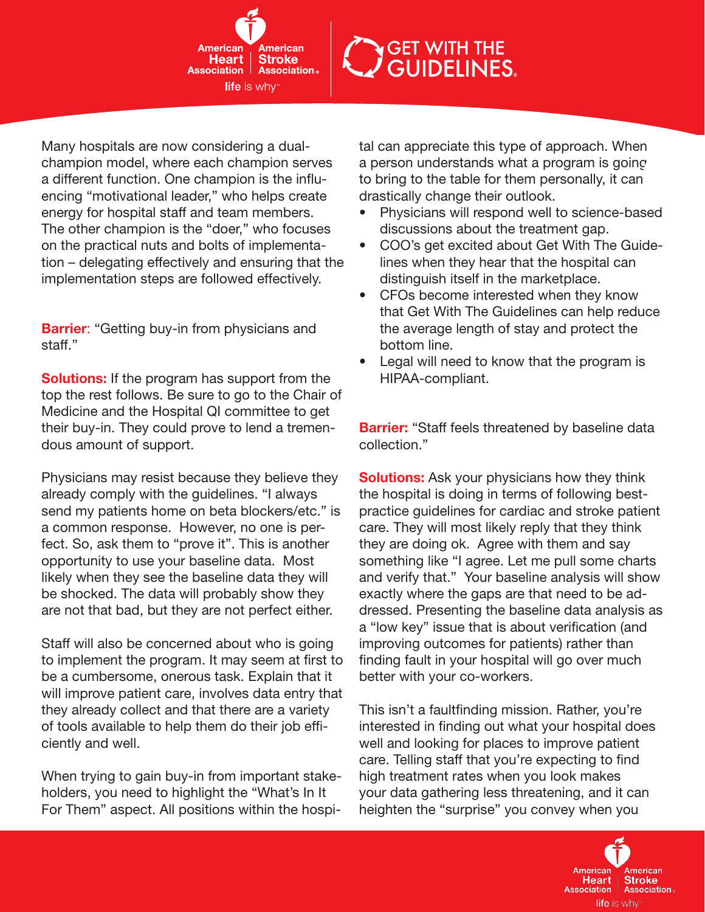American **Heart Stroke Association Association** life is why<sup>"</sup>

**GET WITH THE GUIDELINES.** 

Many hospitals are now considering a dualchampion model, where each champion serves a different function. One champion is the influencing "motivational leader," who helps create energy for hospital staff and team members. The other champion is the "doer," who focuses on the practical nuts and bolts of implementation – delegating effectively and ensuring that the implementation steps are followed effectively.

**Barrier:** "Getting buy-in from physicians and staff."

**Solutions:** If the program has support from the top the rest follows. Be sure to go to the Chair of Medicine and the Hospital QI committee to get their buy-in. They could prove to lend a tremendous amount of support.

Physicians may resist because they believe they already comply with the guidelines. "I always send my patients home on beta blockers/etc." is a common response. However, no one is perfect. So, ask them to "prove it". This is another opportunity to use your baseline data. Most likely when they see the baseline data they will be shocked. The data will probably show they are not that bad, but they are not perfect either.

Staff will also be concerned about who is going to implement the program. It may seem at first to be a cumbersome, onerous task. Explain that it will improve patient care, involves data entry that they already collect and that there are a variety of tools available to help them do their job efficiently and well.

When trying to gain buy-in from important stakeholders, you need to highlight the "What's In It For Them" aspect. All positions within the hospital can appreciate this type of approach. When a person understands what a program is going to bring to the table for them personally, it can drastically change their outlook.

- • Physicians will respond well to science-based discussions about the treatment gap.
- • COO's get excited about Get With The Guidelines when they hear that the hospital can distinguish itself in the marketplace.
- CFOs become interested when they know that Get With The Guidelines can help reduce the average length of stay and protect the bottom line.
- Legal will need to know that the program is HIPAA-compliant.

**Barrier:** "Staff feels threatened by baseline data collection."

**Solutions:** Ask your physicians how they think the hospital is doing in terms of following bestpractice guidelines for cardiac and stroke patient care. They will most likely reply that they think they are doing ok. Agree with them and say something like "I agree. Let me pull some charts and verify that." Your baseline analysis will show exactly where the gaps are that need to be addressed. Presenting the baseline data analysis as a "low key" issue that is about verification (and improving outcomes for patients) rather than finding fault in your hospital will go over much better with your co-workers.

This isn't a faultfinding mission. Rather, you're interested in finding out what your hospital does well and looking for places to improve patient care. Telling staff that you're expecting to find high treatment rates when you look makes your data gathering less threatening, and it can heighten the "surprise" you convey when you

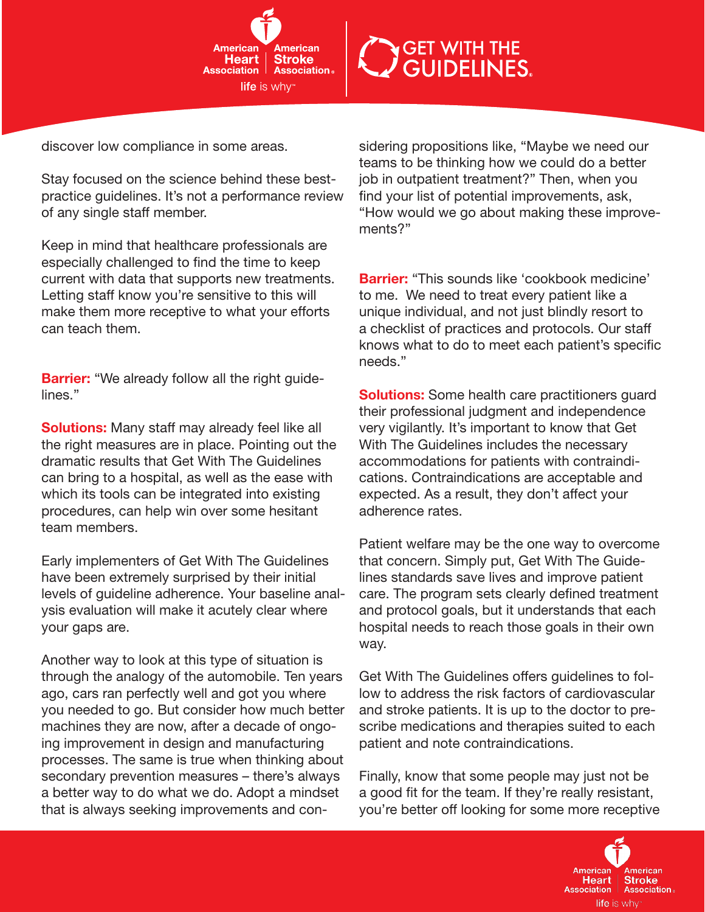



discover low compliance in some areas.

Stay focused on the science behind these bestpractice guidelines. It's not a performance review of any single staff member.

Keep in mind that healthcare professionals are especially challenged to find the time to keep current with data that supports new treatments. Letting staff know you're sensitive to this will make them more receptive to what your efforts can teach them.

**Barrier:** "We already follow all the right guidelines."

**Solutions:** Many staff may already feel like all the right measures are in place. Pointing out the dramatic results that Get With The Guidelines can bring to a hospital, as well as the ease with which its tools can be integrated into existing procedures, can help win over some hesitant team members.

Early implementers of Get With The Guidelines have been extremely surprised by their initial levels of guideline adherence. Your baseline analysis evaluation will make it acutely clear where your gaps are.

Another way to look at this type of situation is through the analogy of the automobile. Ten years ago, cars ran perfectly well and got you where you needed to go. But consider how much better machines they are now, after a decade of ongoing improvement in design and manufacturing processes. The same is true when thinking about secondary prevention measures – there's always a better way to do what we do. Adopt a mindset that is always seeking improvements and considering propositions like, "Maybe we need our teams to be thinking how we could do a better job in outpatient treatment?" Then, when you find your list of potential improvements, ask, "How would we go about making these improvements?"

**Barrier:** "This sounds like 'cookbook medicine' to me. We need to treat every patient like a unique individual, and not just blindly resort to a checklist of practices and protocols. Our staff knows what to do to meet each patient's specific needs."

**Solutions:** Some health care practitioners quard their professional judgment and independence very vigilantly. It's important to know that Get With The Guidelines includes the necessary accommodations for patients with contraindications. Contraindications are acceptable and expected. As a result, they don't affect your adherence rates.

Patient welfare may be the one way to overcome that concern. Simply put, Get With The Guidelines standards save lives and improve patient care. The program sets clearly defined treatment and protocol goals, but it understands that each hospital needs to reach those goals in their own way.

Get With The Guidelines offers guidelines to follow to address the risk factors of cardiovascular and stroke patients. It is up to the doctor to prescribe medications and therapies suited to each patient and note contraindications.

Finally, know that some people may just not be a good fit for the team. If they're really resistant, you're better off looking for some more receptive

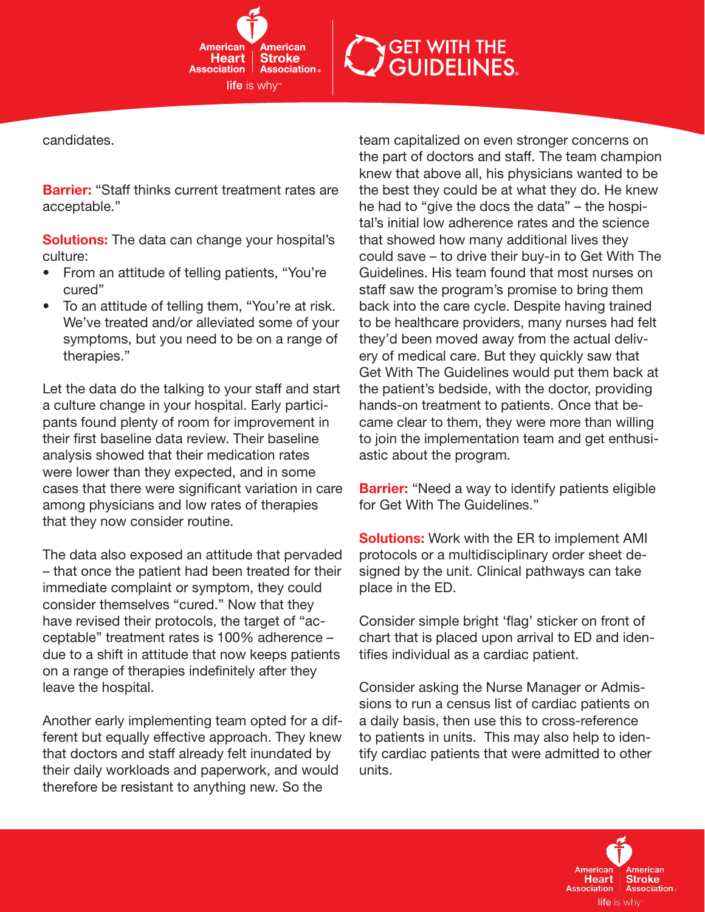Americar **Stroke Heart Association** | **Association life** is why

## **GET WITH THE<br>GUIDELINES.**

candidates.

**Barrier:** "Staff thinks current treatment rates are acceptable."

**Solutions:** The data can change your hospital's culture:

- From an attitude of telling patients, "You're cured"
- To an attitude of telling them, "You're at risk. We've treated and/or alleviated some of your symptoms, but you need to be on a range of therapies."

Let the data do the talking to your staff and start a culture change in your hospital. Early participants found plenty of room for improvement in their first baseline data review. Their baseline analysis showed that their medication rates were lower than they expected, and in some cases that there were significant variation in care among physicians and low rates of therapies that they now consider routine.

The data also exposed an attitude that pervaded – that once the patient had been treated for their immediate complaint or symptom, they could consider themselves "cured." Now that they have revised their protocols, the target of "acceptable" treatment rates is 100% adherence – due to a shift in attitude that now keeps patients on a range of therapies indefinitely after they leave the hospital.

Another early implementing team opted for a different but equally effective approach. They knew that doctors and staff already felt inundated by their daily workloads and paperwork, and would therefore be resistant to anything new. So the

team capitalized on even stronger concerns on the part of doctors and staff. The team champion knew that above all, his physicians wanted to be the best they could be at what they do. He knew he had to "give the docs the data" – the hospital's initial low adherence rates and the science that showed how many additional lives they could save – to drive their buy-in to Get With The Guidelines. His team found that most nurses on staff saw the program's promise to bring them back into the care cycle. Despite having trained to be healthcare providers, many nurses had felt they'd been moved away from the actual delivery of medical care. But they quickly saw that Get With The Guidelines would put them back at the patient's bedside, with the doctor, providing hands-on treatment to patients. Once that became clear to them, they were more than willing to join the implementation team and get enthusiastic about the program.

**Barrier:** "Need a way to identify patients eligible for Get With The Guidelines."

**Solutions:** Work with the ER to implement AMI protocols or a multidisciplinary order sheet designed by the unit. Clinical pathways can take place in the ED.

Consider simple bright 'flag' sticker on front of chart that is placed upon arrival to ED and identifies individual as a cardiac patient.

Consider asking the Nurse Manager or Admissions to run a census list of cardiac patients on a daily basis, then use this to cross-reference to patients in units. This may also help to identify cardiac patients that were admitted to other units.

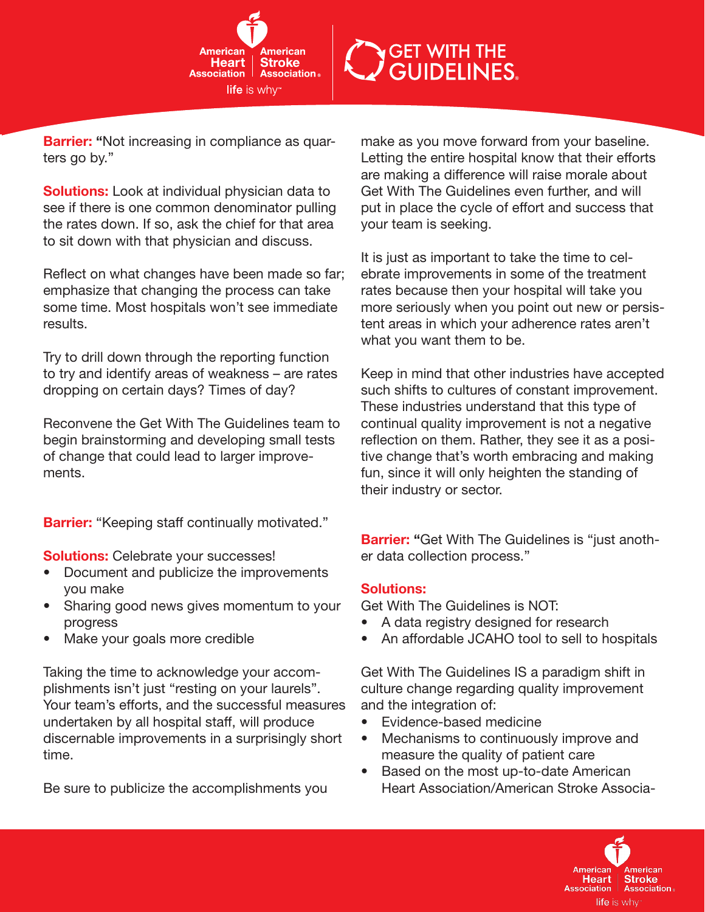

## **GET WITH THE GUIDELINES.**

**Barrier:** "Not increasing in compliance as quarters go by."

**Solutions:** Look at individual physician data to see if there is one common denominator pulling the rates down. If so, ask the chief for that area to sit down with that physician and discuss.

Reflect on what changes have been made so far; emphasize that changing the process can take some time. Most hospitals won't see immediate results.

Try to drill down through the reporting function to try and identify areas of weakness – are rates dropping on certain days? Times of day?

Reconvene the Get With The Guidelines team to begin brainstorming and developing small tests of change that could lead to larger improvements.

**Barrier:** "Keeping staff continually motivated."

**Solutions:** Celebrate your successes!

- Document and publicize the improvements you make
- Sharing good news gives momentum to your progress
- Make your goals more credible

Taking the time to acknowledge your accomplishments isn't just "resting on your laurels". Your team's efforts, and the successful measures undertaken by all hospital staff, will produce discernable improvements in a surprisingly short time.

Be sure to publicize the accomplishments you

make as you move forward from your baseline. Letting the entire hospital know that their efforts are making a difference will raise morale about Get With The Guidelines even further, and will put in place the cycle of effort and success that your team is seeking.

It is just as important to take the time to celebrate improvements in some of the treatment rates because then your hospital will take you more seriously when you point out new or persistent areas in which your adherence rates aren't what you want them to be.

Keep in mind that other industries have accepted such shifts to cultures of constant improvement. These industries understand that this type of continual quality improvement is not a negative reflection on them. Rather, they see it as a positive change that's worth embracing and making fun, since it will only heighten the standing of their industry or sector.

**Barrier:** "Get With The Guidelines is "just another data collection process."

## Solutions:

Get With The Guidelines is NOT:

- A data registry designed for research
- An affordable JCAHO tool to sell to hospitals

Get With The Guidelines IS a paradigm shift in culture change regarding quality improvement and the integration of:

- • Evidence-based medicine
- Mechanisms to continuously improve and measure the quality of patient care
- Based on the most up-to-date American Heart Association/American Stroke Associa-